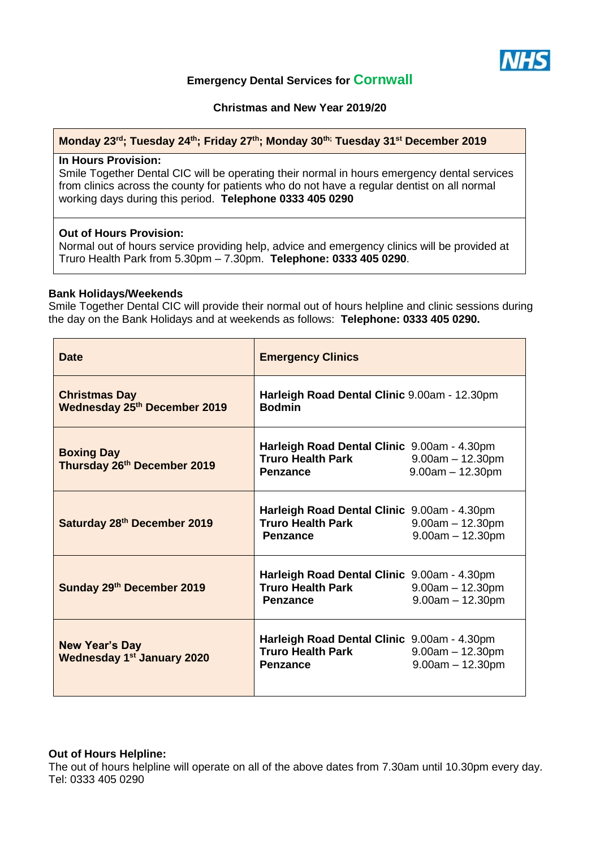

# **Emergency Dental Services for Cornwall**

**Christmas and New Year 2019/20**

#### **Monday 23rd; Tuesday 24th; Friday 27 th; Monday 30th; Tuesday 31st December 2019**

#### **In Hours Provision:**

Smile Together Dental CIC will be operating their normal in hours emergency dental services from clinics across the county for patients who do not have a regular dentist on all normal working days during this period. **Telephone 0333 405 0290**

## **Out of Hours Provision:**

Normal out of hours service providing help, advice and emergency clinics will be provided at Truro Health Park from 5.30pm – 7.30pm. **Telephone: 0333 405 0290**.

#### **Bank Holidays/Weekends**

Smile Together Dental CIC will provide their normal out of hours helpline and clinic sessions during the day on the Bank Holidays and at weekends as follows: **Telephone: 0333 405 0290.**

| <b>Date</b>                                                 | <b>Emergency Clinics</b>                                                                   |                                          |
|-------------------------------------------------------------|--------------------------------------------------------------------------------------------|------------------------------------------|
| <b>Christmas Day</b><br><b>Wednesday 25th December 2019</b> | Harleigh Road Dental Clinic 9.00am - 12.30pm<br><b>Bodmin</b>                              |                                          |
| <b>Boxing Day</b><br>Thursday 26th December 2019            | Harleigh Road Dental Clinic 9.00am - 4.30pm<br><b>Truro Health Park</b><br><b>Penzance</b> | $9.00am - 12.30pm$<br>$9.00am - 12.30pm$ |
| Saturday 28th December 2019                                 | Harleigh Road Dental Clinic 9.00am - 4.30pm<br><b>Truro Health Park</b><br><b>Penzance</b> | $9.00am - 12.30pm$<br>$9.00am - 12.30pm$ |
| Sunday 29th December 2019                                   | Harleigh Road Dental Clinic 9.00am - 4.30pm<br><b>Truro Health Park</b><br><b>Penzance</b> | $9.00am - 12.30pm$<br>$9.00am - 12.30pm$ |
| <b>New Year's Day</b><br><b>Wednesday 1st January 2020</b>  | Harleigh Road Dental Clinic 9.00am - 4.30pm<br><b>Truro Health Park</b><br><b>Penzance</b> | $9.00am - 12.30pm$<br>$9.00am - 12.30pm$ |

#### **Out of Hours Helpline:**

The out of hours helpline will operate on all of the above dates from 7.30am until 10.30pm every day. Tel: 0333 405 0290